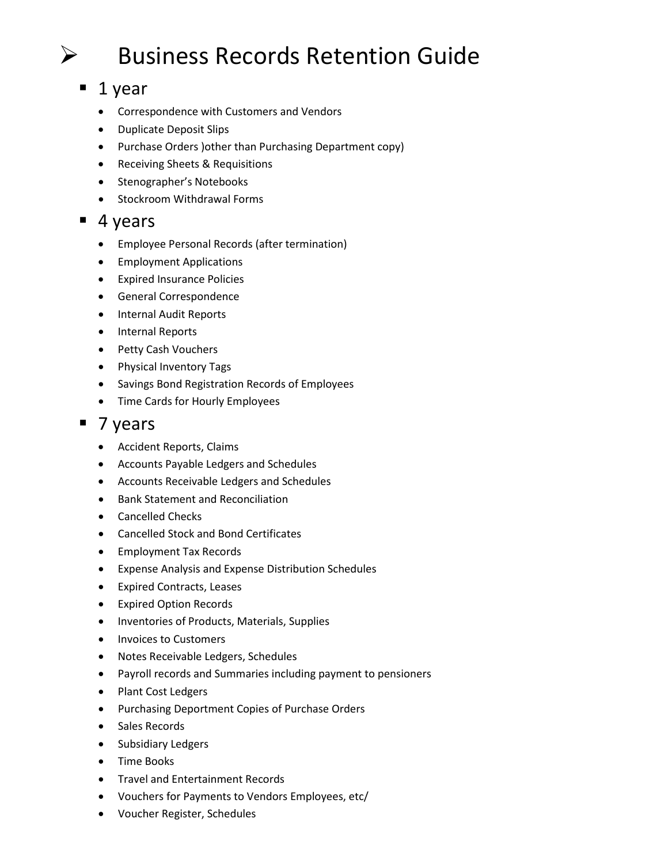# $\triangleright$  Business Records Retention Guide

## $\blacksquare$  1 year

- Correspondence with Customers and Vendors
- Duplicate Deposit Slips
- Purchase Orders )other than Purchasing Department copy)
- Receiving Sheets & Requisitions
- Stenographer's Notebooks
- Stockroom Withdrawal Forms

#### $\blacksquare$  4 years

- Employee Personal Records (after termination)
- Employment Applications
- Expired Insurance Policies
- General Correspondence
- Internal Audit Reports
- Internal Reports
- Petty Cash Vouchers
- Physical Inventory Tags
- Savings Bond Registration Records of Employees
- Time Cards for Hourly Employees

#### ■ 7 years

- Accident Reports, Claims
- Accounts Payable Ledgers and Schedules
- Accounts Receivable Ledgers and Schedules
- Bank Statement and Reconciliation
- Cancelled Checks
- Cancelled Stock and Bond Certificates
- Employment Tax Records
- Expense Analysis and Expense Distribution Schedules
- Expired Contracts, Leases
- Expired Option Records
- Inventories of Products, Materials, Supplies
- Invoices to Customers
- Notes Receivable Ledgers, Schedules
- Payroll records and Summaries including payment to pensioners
- Plant Cost Ledgers
- Purchasing Deportment Copies of Purchase Orders
- Sales Records
- Subsidiary Ledgers
- Time Books
- Travel and Entertainment Records
- Vouchers for Payments to Vendors Employees, etc/
- Voucher Register, Schedules